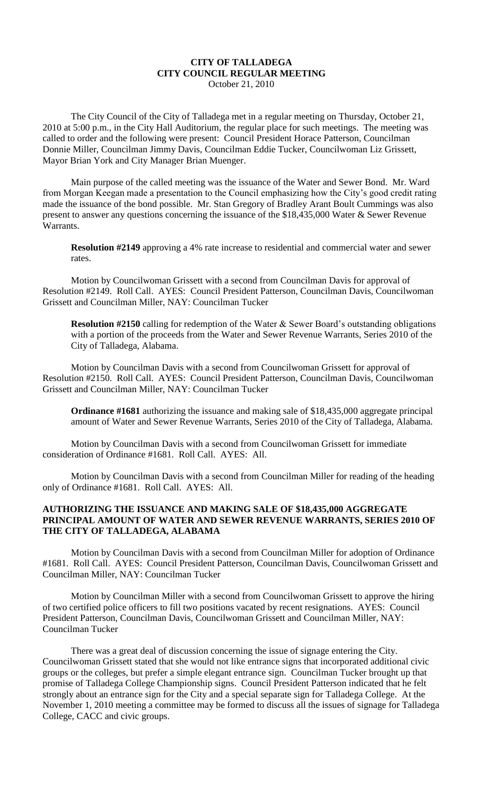## **CITY OF TALLADEGA CITY COUNCIL REGULAR MEETING** October 21, 2010

The City Council of the City of Talladega met in a regular meeting on Thursday, October 21, 2010 at 5:00 p.m., in the City Hall Auditorium, the regular place for such meetings. The meeting was called to order and the following were present: Council President Horace Patterson, Councilman Donnie Miller, Councilman Jimmy Davis, Councilman Eddie Tucker, Councilwoman Liz Grissett, Mayor Brian York and City Manager Brian Muenger.

Main purpose of the called meeting was the issuance of the Water and Sewer Bond. Mr. Ward from Morgan Keegan made a presentation to the Council emphasizing how the City's good credit rating made the issuance of the bond possible. Mr. Stan Gregory of Bradley Arant Boult Cummings was also present to answer any questions concerning the issuance of the \$18,435,000 Water & Sewer Revenue Warrants.

**Resolution #2149** approving a 4% rate increase to residential and commercial water and sewer rates.

Motion by Councilwoman Grissett with a second from Councilman Davis for approval of Resolution #2149. Roll Call. AYES: Council President Patterson, Councilman Davis, Councilwoman Grissett and Councilman Miller, NAY: Councilman Tucker

**Resolution #2150** calling for redemption of the Water & Sewer Board's outstanding obligations with a portion of the proceeds from the Water and Sewer Revenue Warrants, Series 2010 of the City of Talladega, Alabama.

Motion by Councilman Davis with a second from Councilwoman Grissett for approval of Resolution #2150. Roll Call. AYES: Council President Patterson, Councilman Davis, Councilwoman Grissett and Councilman Miller, NAY: Councilman Tucker

**Ordinance #1681** authorizing the issuance and making sale of \$18,435,000 aggregate principal amount of Water and Sewer Revenue Warrants, Series 2010 of the City of Talladega, Alabama.

Motion by Councilman Davis with a second from Councilwoman Grissett for immediate consideration of Ordinance #1681. Roll Call. AYES: All.

Motion by Councilman Davis with a second from Councilman Miller for reading of the heading only of Ordinance #1681. Roll Call. AYES: All.

## **AUTHORIZING THE ISSUANCE AND MAKING SALE OF \$18,435,000 AGGREGATE PRINCIPAL AMOUNT OF WATER AND SEWER REVENUE WARRANTS, SERIES 2010 OF THE CITY OF TALLADEGA, ALABAMA**

Motion by Councilman Davis with a second from Councilman Miller for adoption of Ordinance #1681. Roll Call. AYES: Council President Patterson, Councilman Davis, Councilwoman Grissett and Councilman Miller, NAY: Councilman Tucker

Motion by Councilman Miller with a second from Councilwoman Grissett to approve the hiring of two certified police officers to fill two positions vacated by recent resignations. AYES: Council President Patterson, Councilman Davis, Councilwoman Grissett and Councilman Miller, NAY: Councilman Tucker

There was a great deal of discussion concerning the issue of signage entering the City. Councilwoman Grissett stated that she would not like entrance signs that incorporated additional civic groups or the colleges, but prefer a simple elegant entrance sign. Councilman Tucker brought up that promise of Talladega College Championship signs. Council President Patterson indicated that he felt strongly about an entrance sign for the City and a special separate sign for Talladega College. At the November 1, 2010 meeting a committee may be formed to discuss all the issues of signage for Talladega College, CACC and civic groups.